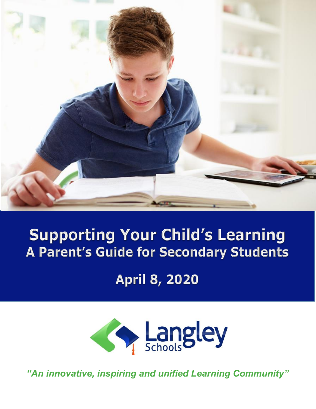

# **Supporting Your Child's Learning A Parent's Guide for Secondary Students**

**April 8, 2020** 



*"An innovative, inspiring and unified Learning Community"*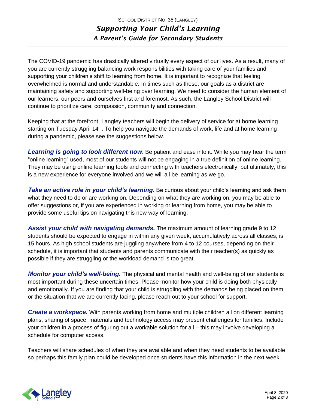The COVID-19 pandemic has drastically altered virtually every aspect of our lives. As a result, many of you are currently struggling balancing work responsibilities with taking care of your families and supporting your children's shift to learning from home. It is important to recognize that feeling overwhelmed is normal and understandable. In times such as these, our goals as a district are maintaining safety and supporting well-being over learning. We need to consider the human element of our learners, our peers and ourselves first and foremost. As such, the Langley School District will continue to prioritize care, compassion, community and connection.

Keeping that at the forefront, Langley teachers will begin the delivery of service for at home learning starting on Tuesday April 14<sup>th</sup>. To help you navigate the demands of work, life and at home learning during a pandemic, please see the suggestions below.

*Learning is going to look different now***.** Be patient and ease into it. While you may hear the term "online learning" used, most of our students will not be engaging in a true definition of online learning. They may be using online learning tools and connecting with teachers electronically, but ultimately, this is a new experience for everyone involved and we will all be learning as we go.

**Take an active role in your child's learning.** Be curious about your child's learning and ask them what they need to do or are working on. Depending on what they are working on, you may be able to offer suggestions or, if you are experienced in working or learning from home, you may be able to provide some useful tips on navigating this new way of learning.

*Assist your child with navigating demands.* The maximum amount of learning grade 9 to 12 students should be expected to engage in within any given week, accumulatively across all classes, is 15 hours. As high school students are juggling anywhere from 4 to 12 courses, depending on their schedule, it is important that students and parents communicate with their teacher(s) as quickly as possible if they are struggling or the workload demand is too great.

*Monitor your child's well-being.* The physical and mental health and well-being of our students is most important during these uncertain times. Please monitor how your child is doing both physically and emotionally. If you are finding that your child is struggling with the demands being placed on them or the situation that we are currently facing, please reach out to your school for support.

*Create a workspace.* With parents working from home and multiple children all on different learning plans, sharing of space, materials and technology access may present challenges for families. Include your children in a process of figuring out a workable solution for all – this may involve developing a schedule for computer access.

Teachers will share schedules of when they are available and when they need students to be available so perhaps this family plan could be developed once students have this information in the next week.

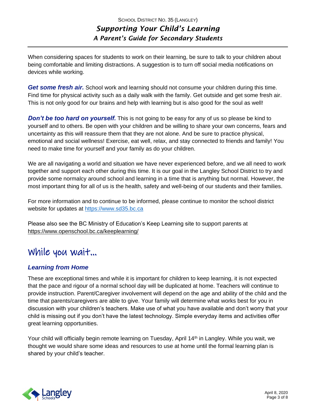When considering spaces for students to work on their learning, be sure to talk to your children about being comfortable and limiting distractions. A suggestion is to turn off social media notifications on devices while working.

*Get some fresh air.* School work and learning should not consume your children during this time. Find time for physical activity such as a daily walk with the family. Get outside and get some fresh air. This is not only good for our brains and help with learning but is also good for the soul as well!

*Don't be too hard on yourself.* This is not going to be easy for any of us so please be kind to yourself and to others. Be open with your children and be willing to share your own concerns, fears and uncertainty as this will reassure them that they are not alone. And be sure to practice physical, emotional and social wellness! Exercise, eat well, relax, and stay connected to friends and family! You need to make time for yourself and your family as do your children.

We are all navigating a world and situation we have never experienced before, and we all need to work together and support each other during this time. It is our goal in the Langley School District to try and provide some normalcy around school and learning in a time that is anything but normal. However, the most important thing for all of us is the health, safety and well-being of our students and their families.

For more information and to continue to be informed, please continue to monitor the school district website for updates at [https://www.sd35.bc.ca](https://www.sd35.bc.ca/) 

Please also see the BC Ministry of Education's Keep Learning site to support parents at <https://www.openschool.bc.ca/keeplearning/>

# While you wait…

# *Learning from Home*

These are exceptional times and while it is important for children to keep learning, it is not expected that the pace and rigour of a normal school day will be duplicated at home. Teachers will continue to provide instruction. Parent/Caregiver involvement will depend on the age and ability of the child and the time that parents/caregivers are able to give. Your family will determine what works best for you in discussion with your children's teachers. Make use of what you have available and don't worry that your child is missing out if you don't have the latest technology. Simple everyday items and activities offer great learning opportunities.

Your child will officially begin remote learning on Tuesday, April 14<sup>th</sup> in Langley. While you wait, we thought we would share some ideas and resources to use at home until the formal learning plan is shared by your child's teacher.

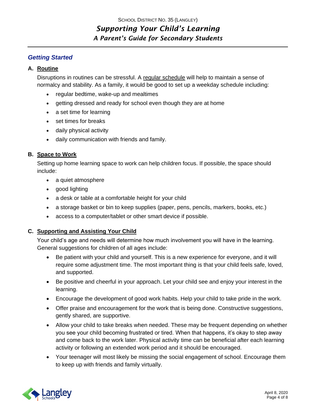#### *Getting Started*

#### **A. Routine**

Disruptions in routines can be stressful. A [regular schedule](http://teenmentalhealth.org/wp-content/uploads/2020/03/Tips-for-Routine-School-Closures-COVID-19-1.pdf) will help to maintain a sense of normalcy and stability. As a family, it would be good to set up a weekday schedule including:

- regular bedtime, wake-up and mealtimes
- getting dressed and ready for school even though they are at home
- a set time for learning
- set times for breaks
- daily physical activity
- daily communication with friends and family.

#### **B. Space to Work**

Setting up home learning space to work can help children focus. If possible, the space should include:

- a quiet atmosphere
- good lighting
- a desk or table at a comfortable height for your child
- a storage basket or bin to keep supplies (paper, pens, pencils, markers, books, etc.)
- access to a computer/tablet or other smart device if possible.

#### **C. Supporting and Assisting Your Child**

Your child's age and needs will determine how much involvement you will have in the learning. General suggestions for children of all ages include:

- Be patient with your child and yourself. This is a new experience for everyone, and it will require some adjustment time. The most important thing is that your child feels safe, loved, and supported.
- Be positive and cheerful in your approach. Let your child see and enjoy your interest in the learning.
- Encourage the development of good work habits. Help your child to take pride in the work.
- Offer praise and encouragement for the work that is being done. Constructive suggestions, gently shared, are supportive.
- Allow your child to take breaks when needed. These may be frequent depending on whether you see your child becoming frustrated or tired. When that happens, it's okay to step away and come back to the work later. Physical activity time can be beneficial after each learning activity or following an extended work period and it should be encouraged.
- Your teenager will most likely be missing the social engagement of school. Encourage them to keep up with friends and family virtually.

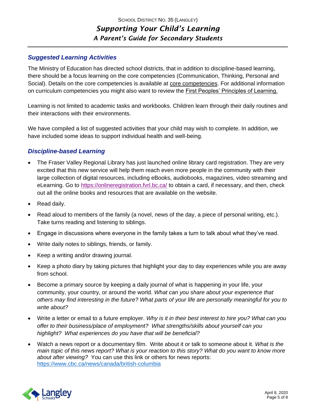## *Suggested Learning Activities*

The Ministry of Education has directed school districts, that in addition to discipline-based learning, there should be a focus learning on the core competencies (Communication, Thinking, Personal and Social). Details on the core competencies is available at [core competencies.](https://curriculum.gov.bc.ca/competencies) For additional information on curriculum competencies you might also want to review the [First Peoples' Principles of Learning.](https://www.openschool.bc.ca/keeplearning/pdf/FirstPeoplesPrinciplesLearning.pdf)

Learning is not limited to academic tasks and workbooks. Children learn through their daily routines and their interactions with their environments.

We have compiled a list of suggested activities that your child may wish to complete. In addition, we have included some ideas to support individual health and well-being.

# *Discipline-based Learning*

- The Fraser Valley Regional Library has just launched online library card registration. They are very excited that this new service will help them reach even more people in the community with their large collection of digital resources, including eBooks, audiobooks, magazines, video streaming and eLearning. Go to [https://onlineregistration.fvrl.bc.ca/](https://can01.safelinks.protection.outlook.com/?url=https%3A%2F%2Fonlineregistration.fvrl.bc.ca%2F&data=02%7C01%7Cdtomlinson%40sd35.bc.ca%7C85d9afe240564ec2c58e08d7da5b749e%7Cfcabfaaef80a4f74b6a7ba15c2a4bb24%7C0%7C0%7C637217958649413113&sdata=bUUfBthNV84TfWTvBpNHf1kzRMcDHbwf3QrImu49pCQ%3D&reserved=0) to obtain a card, if necessary, and then, check out all the online books and resources that are available on the website.
- Read daily.
- Read aloud to members of the family (a novel, news of the day, a piece of personal writing, etc.). Take turns reading and listening to siblings.
- Engage in discussions where everyone in the family takes a turn to talk about what they've read.
- Write daily notes to siblings, friends, or family.
- Keep a writing and/or drawing journal.
- Keep a photo diary by taking pictures that highlight your day to day experiences while you are away from school.
- Become a primary source by keeping a daily journal of what is happening in your life, your community, your country, or around the world. *What can you share about your experience that others may find interesting in the future? What parts of your life are personally meaningful for you to write about?*
- Write a letter or email to a future employer. *Why is it in their best interest to hire you? What can you offer to their business/place of employment? What strengths/skills about yourself can you highlight? What experiences do you have that will be beneficial?*
- Watch a news report or a documentary film. Write about it or talk to someone about it. *What is the main topic of this news report? What is your reaction to this story? What do you want to know more about after viewing?* You can use this link or others for news reports: <https://www.cbc.ca/news/canada/british-columbia>

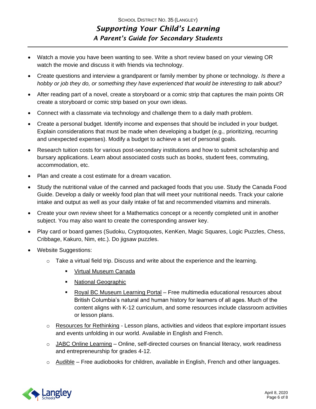- Watch a movie you have been wanting to see. Write a short review based on your viewing OR watch the movie and discuss it with friends via technology.
- Create questions and interview a grandparent or family member by phone or technology. *Is there a hobby or job they do, or something they have experienced that would be interesting to talk about?*
- After reading part of a novel, create a storyboard or a comic strip that captures the main points OR create a storyboard or comic strip based on your own ideas.
- Connect with a classmate via technology and challenge them to a daily math problem.
- Create a personal budget. Identify income and expenses that should be included in your budget. Explain considerations that must be made when developing a budget (e.g., prioritizing, recurring and unexpected expenses). Modify a budget to achieve a set of personal goals.
- Research tuition costs for various post-secondary institutions and how to submit scholarship and bursary applications. Learn about associated costs such as books, student fees, commuting, accommodation, etc.
- Plan and create a cost estimate for a dream vacation.
- Study the nutritional value of the canned and packaged foods that you use. Study the Canada Food Guide. Develop a daily or weekly food plan that will meet your nutritional needs. Track your calorie intake and output as well as your daily intake of fat and recommended vitamins and minerals.
- Create your own review sheet for a Mathematics concept or a recently completed unit in another subject. You may also want to create the corresponding answer key.
- Play card or board games (Sudoku, Cryptoquotes, KenKen, Magic Squares, Logic Puzzles, Chess, Cribbage, Kakuro, Nim, etc.). Do jigsaw puzzles.
- Website Suggestions:
	- $\circ$  Take a virtual field trip. Discuss and write about the experience and the learning.
		- [Virtual Museum Canada](http://www.virtualmuseum.ca/virtual-exhibits/type/virtual-exhibits/)
		- [National Geographic](https://www.nationalgeographic.org/education/student-experiences/explorer-classroom/)
		- [Royal BC Museum Learning Portal](https://learning.royalbcmuseum.bc.ca/) Free multimedia educational resources about British Columbia's natural and human history for learners of all ages. Much of the content aligns with K-12 curriculum, and some resources include classroom activities or lesson plans.
	- $\circ$  [Resources for Rethinking](http://resources4rethinking.ca/en/) Lesson plans, activities and videos that explore important issues and events unfolding in our world. Available in English and French.
	- o [JABC Online Learning](https://jabc.ca/online-learning/) Online, self-directed courses on financial literacy, work readiness and entrepreneurship for grades 4-12.
	- $\circ$  [Audible](https://stories.audible.com/start-listen) Free audiobooks for children, available in English, French and other languages.

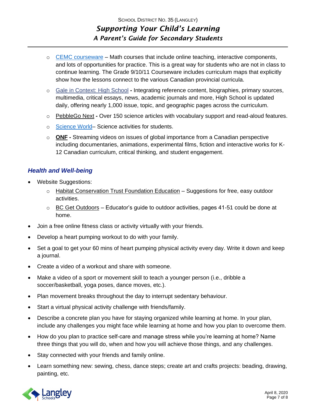- o [CEMC courseware](https://cemc.uwaterloo.ca/resources/courseware/courseware.html) Math courses that include online teaching, interactive components, and lots of opportunities for practice. This is a great way for students who are not in class to continue learning. The Grade 9/10/11 Courseware includes curriculum maps that explicitly show how the lessons connect to the various Canadian provincial curricula.
- o Gale in [Context:](https://go.gale.com/ps/start.do?p=SUIC&u=c19micro&password=open) High School **-** Integrating reference content, biographies, primary sources, multimedia, critical essays, news, academic journals and more, High School is updated daily, offering nearly 1,000 issue, topic, and geographic pages across the curriculum.
- o [PebbleGo](http://www.pebblegonext.com/login/?sqs=e8a92fa714a7d099da444e3bdf2bdf93f62e51b15d3fa0259fd774d58362e930) Next **-** Over 150 science articles with vocabulary support and read-aloud features.
- o [Science World–](https://www.scienceworld.ca/resources/) Science activities for students.
- o **[ONF](https://www.onf.ca/) -** Streaming videos on issues of global importance from a Canadian perspective including documentaries, animations, experimental films, fiction and interactive works for K-12 Canadian curriculum, critical thinking, and student engagement.

### *Health and Well-being*

- Website Suggestions:
	- $\circ$  [Habitat Conservation Trust Foundation Education](https://www.hctfeducation.ca/wp-content/uploads/2015/10/C2C_EasyPlaceBasedActivities.pdf) Suggestions for free, easy outdoor activities.
	- $\circ$  [BC Get Outdoors](https://kbee.ca/wp-content/uploads/2020/03/getoutdoors.pdf) Educator's guide to outdoor activities, pages 41-51 could be done at home.
- Join a free online fitness class or activity virtually with your friends.
- Develop a heart pumping workout to do with your family.
- Set a goal to get your 60 mins of heart pumping physical activity every day. Write it down and keep a journal.
- Create a video of a workout and share with someone.
- Make a video of a sport or movement skill to teach a younger person (i.e., dribble a soccer/basketball, yoga poses, dance moves, etc.).
- Plan movement breaks throughout the day to interrupt sedentary behaviour.
- Start a virtual physical activity challenge with friends/family.
- Describe a concrete plan you have for staying organized while learning at home. In your plan, include any challenges you might face while learning at home and how you plan to overcome them.
- How do you plan to practice self-care and manage stress while you're learning at home? Name three things that you will do, when and how you will achieve those things, and any challenges.
- Stay connected with your friends and family online.
- Learn something new: sewing, chess, dance steps; create art and crafts projects: beading, drawing, painting, etc.